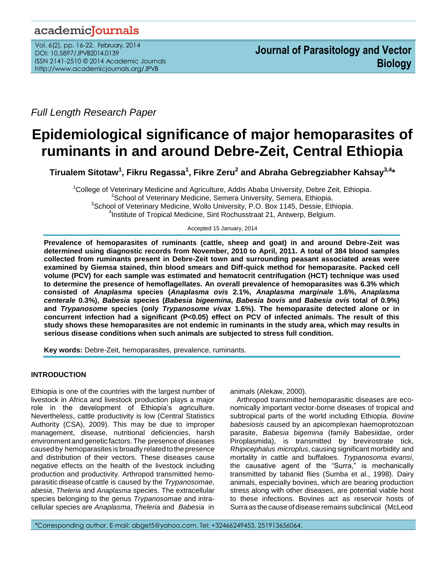*Full Length Research Paper*

# **Epidemiological significance of major hemoparasites of ruminants in and around Debre-Zeit, Central Ethiopia**

**Tirualem Sitotaw<sup>1</sup> , Fikru Regassa<sup>1</sup> , Fikre Zeru<sup>2</sup> and Abraha Gebregziabher Kahsay3,4\***

 $1$ College of Veterinary Medicine and Agriculture, Addis Ababa University, Debre Zeit, Ethiopia. <sup>2</sup> School of Veterinary Medicine, Semera University, Semera, Ethiopia. <sup>3</sup>School of Veterinary Medicine, Wollo University, P.O. Box 1145, Dessie, Ethiopia. <sup>4</sup>Institute of Tropical Medicine, Sint Rochusstraat 21, Antwerp, Belgium.

Accepted 15 January, 2014

**Prevalence of hemoparasites of ruminants (cattle, sheep and goat) in and around Debre-Zeit was determined using diagnostic records from November, 2010 to April, 2011. A total of 384 blood samples collected from ruminants present in Debre-Zeit town and surrounding peasant associated areas were examined by Giemsa stained, thin blood smears and Diff-quick method for hemoparasite. Packed cell volume (PCV) for each sample was estimated and hematocrit centrifugation (HCT) technique was used to determine the presence of hemoflagellates. An overall prevalence of hemoparasites was 6.3% which consisted of** *Anaplasma* **species (***Anaplasma ovis* **2.1%,** *Anaplasma marginale* **1.6%,** *Anaplasma centerale* **0.3%),** *Babesia* **species (***Babesia bigeemina***,** *Babesia bovis* **and** *Babesia ovis* **total of 0.9%) and** *Trypanosome* **species (only** *Trypanosome vivax* **1.6%). The hemoparasite detected alone or in concurrent infection had a significant (P<0.05) effect on PCV of infected animals. The result of this study shows these hemoparasites are not endemic in ruminants in the study area, which may results in serious disease conditions when such animals are subjected to stress full condition.** 

**Key words:** Debre-Zeit, hemoparasites, prevalence, ruminants.

# **INTRODUCTION**

Ethiopia is one of the countries with the largest number of livestock in Africa and livestock production plays a major role in the development of Ethiopia's agriculture. Nevertheless, cattle productivity is low (Central Statistics Authority (CSA), 2009). This may be due to improper management, disease, nutritional deficiencies, harsh environment and genetic factors.The presence of diseases caused by hemoparasites is broadly related to the presence and distribution of their vectors. These diseases cause negative effects on the health of the livestock including production and productivity. Arthropod transmitted hemoparasitic disease of cattle is caused by the *Trypanosomae, abesia*, *Theleria* and *Anaplasma* species. The extracellular species belonging to the genus *Trypanosomae* and intracellular species are *Anaplasma*, *Theleria* and *Babesia* in animals (Alekaw, 2000).

Arthropod transmitted hemoparasitic diseases are economically important vector-borne diseases of tropical and subtropical parts of the world including Ethiopia. *Bovine babesiosis* caused by an apicomplexan haemoprotozoan parasite, *Babesia bigemina* (family Babesiidae, order Piroplasmida), is transmitted by brevirostrate tick, *Rhipicephalus microplus*, causing significant morbidity and mortality in cattle and buffaloes. *Trypanosoma evansi*, the causative agent of the "Surra," is mechanically transmitted by tabanid flies (Sumba et al., 1998). Dairy animals, especially bovines, which are bearing production stress along with other diseases, are potential viable host to these infections. Bovines act as reservoir hosts of Surra as the cause of disease remains subclinical (McLeod

\*Corresponding author. E-mail: abget5@yahoo.com. Tel: +32466249453, 251913656064.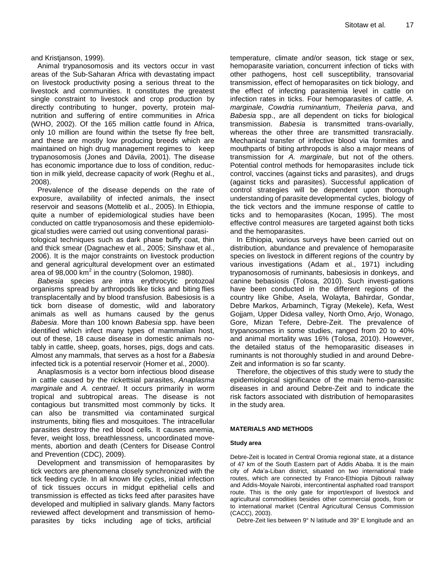and Kristjanson, 1999).

Animal trypanosomosis and its vectors occur in vast areas of the Sub-Saharan Africa with devastating impact on livestock productivity posing a serious threat to the livestock and communities. It constitutes the greatest single constraint to livestock and crop production by directly contributing to hunger, poverty, protein malnutrition and suffering of entire communities in Africa (WHO, 2002). Of the 165 million cattle found in Africa, only 10 million are found within the tsetse fly free belt, and these are mostly low producing breeds which are maintained on high drug management regimes to keep trypanosomosis (Jones and Dávila, 2001). The disease has economic importance due to loss of condition, reduction in milk yield, decrease capacity of work (Reghu et al., 2008).

Prevalence of the disease depends on the rate of exposure, availability of infected animals, the insect reservoir and seasons (Mottelib et al., 2005). In Ethiopia, quite a number of epidemiological studies have been conducted on cattle trypanosomosis and these epidemiological studies were carried out using conventional parasitological techniques such as dark phase buffy coat, thin and thick smear (Dagnachew et al., 2005; Sinshaw et al., 2006). It is the major constraints on livestock production and general agricultural development over an estimated area of 98,000  $\text{km}^2$  in the country (Solomon, 1980).

*Babesia* species are intra erythrocytic protozoal organisms spread by arthropods like ticks and biting flies transplacentally and by blood transfusion. Babesiosis is a tick born disease of domestic, wild and laboratory animals as well as humans caused by the genus *Babesia*. More than 100 known *Babesia* spp. have been identified which infect many types of mammalian host, out of these, 18 cause disease in domestic animals notably in cattle, sheep, goats, horses, pigs, dogs and cats. Almost any mammals, that serves as a host for a *Babesia* infected tick is a potential reservoir (Homer et al., 2000).

Anaplasmosis is a vector born infectious blood disease in cattle caused by the rickettsial parasites, *Anaplasma marginale* and *A. centrael*. It occurs primarily in worm tropical and subtropical areas. The disease is not contagious but transmitted most commonly by ticks. It can also be transmitted via contaminated surgical instruments, biting flies and mosquitoes. The intracellular parasites destroy the red blood cells. It causes anemia, fever, weight loss, breathlessness, uncoordinated movements, abortion and death (Centers for Disease Control and Prevention (CDC), 2009).

Development and transmission of hemoparasites by tick vectors are phenomena closely synchronized with the tick feeding cycle. In all known life cycles, initial infection of tick tissues occurs in midgut epithelial cells and transmission is effected as ticks feed after parasites have developed and multiplied in salivary glands. Many factors reviewed affect development and transmission of hemoparasites by ticks including age of ticks, artificial

temperature, climate and/or season, tick stage or sex, hemoparasite variation, concurrent infection of ticks with other pathogens, host cell susceptibility, transovarial transmission, effect of hemoparasites on tick biology, and the effect of infecting parasitemia level in cattle on infection rates in ticks. Four hemoparasites of cattle, *A. marginale*, *Cowdria ruminantium*, *Theileria parva*, and *Babesia* spp., are all dependent on ticks for biological transmission. *Babesia* is transmitted trans-ovarially, whereas the other three are transmitted transracially. Mechanical transfer of infective blood via formites and mouthparts of biting arthropods is also a major means of transmission for *A. marginale*, but not of the others. Potential control methods for hemoparasites include tick control, vaccines (against ticks and parasites), and drugs (against ticks and parasites). Successful application of control strategies will be dependent upon thorough understanding of parasite developmental cycles, biology of the tick vectors and the immune response of cattle to ticks and to hemoparasites (Kocan, 1995). The most effective control measures are targeted against both ticks and the hemoparasites.

In Ethiopia, various surveys have been carried out on distribution, abundance and prevalence of hemoparasite species on livestock in different regions of the country by various investigations (Adam et al., 1971) including trypanosomosis of ruminants, babesiosis in donkeys, and canine bebasiosis (Tolosa, 2010). Such investi-gations have been conducted in the different regions of the country like Ghibe, Asela, Wolayta, Bahirdar, Gondar, Debre Markos, Arbaminch, Tigray (Mekele), Kefa, West Gojjam, Upper Didesa valley, North Omo, Arjo, Wonago, Gore, Mizan Tefere, Debre-Zeit. The prevalence of trypanosomes in some studies, ranged from 20 to 40% and animal mortality was 16% (Tolosa, 2010). However, the detailed status of the hemoparasitic diseases in ruminants is not thoroughly studied in and around Debre-Zeit and information is so far scanty.

Therefore, the objectives of this study were to study the epidemiological significance of the main hemo-parasitic diseases in and around Debre-Zeit and to indicate the risk factors associated with distribution of hemoparasites in the study area.

## **MATERIALS AND METHODS**

## **Study area**

Debre-Zeit is located in Central Oromia regional state, at a distance of 47 km of the South Eastern part of Addis Ababa. It is the main city of Ada'a-Liban district, situated on two international trade routes, which are connected by Franco-Ethiopia Djibouti railway and Addis-Moyale Nairobi, intercontinental asphalted road transport route. This is the only gate for import/export of livestock and agricultural commodities besides other commercial goods, from or to international market (Central Agricultural Census Commission (CACC), 2003).

Debre-Zeit lies between 9° N latitude and 39° E longitude and an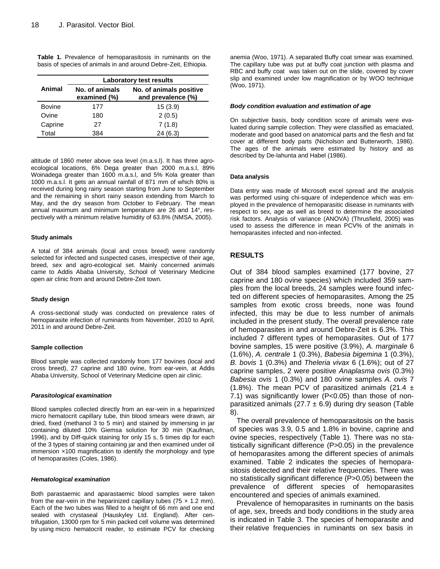**Table 1.** Prevalence of hemoparasitosis in ruminants on the basis of species of animals in and around Debre-Zeit, Ethiopia.

|               |                                | Laboratory test results                       |
|---------------|--------------------------------|-----------------------------------------------|
| Animal        | No. of animals<br>examined (%) | No. of animals positive<br>and prevalence (%) |
| <b>Bovine</b> | 177                            | 15(3.9)                                       |
| Ovine         | 180                            | 2(0.5)                                        |
| Caprine       | 27                             | 7(1.8)                                        |
| Total         | 384                            | 24(6.3)                                       |

altitude of 1860 meter above sea level (m.a.s.l). It has three agroecological locations, 6% Dega greater than 2000 m.a.s.l, 89% Woinadega greater than 1600 m.a.s.l, and 5% Kola greater than 1000 m.a.s.l. It gets an annual rainfall of 871 mm of which 80% is received during long rainy season starting from June to September and the remaining in short rainy season extending from March to May, and the dry season from October to February. The mean annual maximum and minimum temperature are 26 and 14°, respectively with a minimum relative humidity of 63.8% (NMSA, 2005).

#### **Study animals**

A total of 384 animals (local and cross breed) were randomly selected for infected and suspected cases, irrespective of their age, breed, sex and agro-ecological set. Mainly concerned animals came to Addis Ababa University, School of Veterinary Medicine open air clinic from and around Debre-Zeit town.

## **Study design**

A cross-sectional study was conducted on prevalence rates of hemoparasite infection of ruminants from November, 2010 to April, 2011 in and around Debre-Zeit.

## **Sample collection**

Blood sample was collected randomly from 177 bovines (local and cross breed), 27 caprine and 180 ovine, from ear-vein, at Addis Ababa University, School of Veterinary Medicine open air clinic.

## *Parasitological examination*

Blood samples collected directly from an ear-vein in a heparinized micro hematocrit capillary tube, thin blood smears were drawn, air dried, fixed (methanol 3 to 5 min) and stained by immersing in jar containing diluted 10% Giemsa solution for 30 min (Kaufman, 1996), and by Diff-quick staining for only 15 s, 5 times dip for each of the 3 types of staining containing jar and then examined under oil immersion ×100 magnification to identify the morphology and type of hemoparasites (Coles, 1986).

#### *Hematological examination*

Both parastaemic and aparastaemic blood samples were taken from the ear-vein in the heparinized capillary tubes (75  $\times$  1.2 mm). Each of the two tubes was filled to a height of 66 mm and one end sealed with crystaseal (Hauskyley Ltd. England). After centrifugation, 13000 rpm for 5 min packed cell volume was determined by using micro hematocrit reader, to estimate PCV for checking anemia (Woo, 1971). A separated Buffy coat smear was examined. The capillary tube was put at buffy coat junction with plasma and RBC and buffy coat was taken out on the slide, covered by cover slip and examined under low magnification or by WOO technique (Woo, 1971).

#### *Body condition evaluation and estimation of age*

On subjective basis, body condition score of animals were evaluated during sample collection. They were classified as emaciated, moderate and good based on anatomical parts and the flesh and fat cover at different body parts (Nicholson and Butterworth, 1986). The ages of the animals were estimated by history and as described by De-lahunta and Habel (1986).

## **Data analysis**

Data entry was made of Microsoft excel spread and the analysis was performed using chi-square of independence which was employed in the prevalence of hemoparasitic disease in ruminants with respect to sex, age as well as breed to determine the associated risk factors. Analysis of variance (ANOVA) (Thrusfield, 2005) was used to assess the difference in mean PCV% of the animals in hemoparasites infected and non-infected.

# **RESULTS**

Out of 384 blood samples examined (177 bovine, 27 caprine and 180 ovine species) which included 359 samples from the local breeds, 24 samples were found infected on different species of hemoparasites. Among the 25 samples from exotic cross breeds, none was found infected, this may be due to less number of animals included in the present study. The overall prevalence rate of hemoparasites in and around Debre-Zeit is 6.3%. This included 7 different types of hemoparasites. Out of 177 bovine samples, 15 were positive (3.9%), *A. marginale* 6 (1.6%), *A. centrale* 1 (0.3%), *Babesia bigemina* 1 (0.3%), *B. bovis* 1 (0.3%) and *Theleria vivax* 6 (1.6%); out of 27 caprine samples, 2 were positive *Anaplasma ovis* (0.3%) *Babesia ovis* 1 (0.3%) and 180 ovine samples *A. ovis* 7 (1.8%). The mean PCV of parasitized animals (21.4  $\pm$ 7.1) was significantly lower (P<0.05) than those of nonparasitized animals (27.7  $\pm$  6.9) during dry season (Table 8).

The overall prevalence of hemoparasitosis on the basis of species was 3.9, 0.5 and 1.8% in bovine, caprine and ovine species, respectively (Table 1). There was no statistically significant difference (P>0.05) in the prevalence of hemoparasites among the different species of animals examined. Table 2 indicates the species of hemoparasitosis detected and their relative frequencies. There was no statistically significant difference (P>0.05) between the prevalence of different species of hemoparasites encountered and species of animals examined.

Prevalence of hemoparasites in ruminants on the basis of age, sex, breeds and body conditions in the study area is indicated in Table 3. The species of hemoparasite and their relative frequencies in ruminants on sex basis in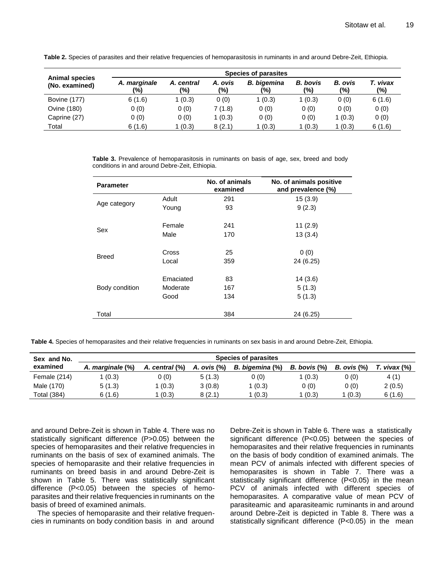|                                         |                     |                   |                | Species of parasites      |                        |                       |                 |
|-----------------------------------------|---------------------|-------------------|----------------|---------------------------|------------------------|-----------------------|-----------------|
| <b>Animal species</b><br>(No. examined) | A. marginale<br>(%) | A. central<br>(%) | A. ovis<br>(%) | <b>B.</b> bigemina<br>(%) | <b>B.</b> bovis<br>(%) | <b>B.</b> ovis<br>(%) | T. vivax<br>(%) |
| <b>Bovine (177)</b>                     | 6(1.6)              | 1(0.3)            | 0(0)           | 1(0.3)                    | 1 (0.3)                | 0(0)                  | 6(1.6)          |
| Ovine (180)                             | 0(0)                | 0(0)              | 7(1.8)         | 0(0)                      | 0(0)                   | 0(0)                  | 0(0)            |
| Caprine (27)                            | 0(0)                | 0(0)              | 1(0.3)         | 0(0)                      | 0(0)                   | 1(0.3)                | 0(0)            |
| Total                                   | 6(1.6)              | 1 (0.3)           | 8(2.1)         | 1(0.3)                    | 1(0.3)                 | 1(0.3)                | 6(1.6)          |

**Table 2.** Species of parasites and their relative frequencies of hemoparasitosis in ruminants in and around Debre-Zeit, Ethiopia.

**Table 3.** Prevalence of hemoparasitosis in ruminants on basis of age, sex, breed and body conditions in and around Debre-Zeit, Ethiopia.

| <b>Parameter</b> |           | No. of animals<br>examined | No. of animals positive<br>and prevalence (%) |
|------------------|-----------|----------------------------|-----------------------------------------------|
|                  | Adult     | 291                        | 15(3.9)                                       |
| Age category     | Young     | 93                         | 9(2.3)                                        |
| Sex              | Female    | 241                        | 11(2.9)                                       |
|                  | Male      | 170                        | 13(3.4)                                       |
| <b>Breed</b>     | Cross     | 25                         | 0(0)                                          |
|                  | Local     | 359                        | 24 (6.25)                                     |
|                  | Emaciated | 83                         | 14(3.6)                                       |
| Body condition   | Moderate  | 167                        | 5(1.3)                                        |
|                  | Good      | 134                        | 5(1.3)                                        |
| Total            |           | 384                        | 24 (6.25)                                     |

**Table 4.** Species of hemoparasites and their relative frequencies in ruminants on sex basis in and around Debre-Zeit, Ethiopia.

| Sex and No.  | Species of parasites |                |             |                 |                     |                  |              |  |  |
|--------------|----------------------|----------------|-------------|-----------------|---------------------|------------------|--------------|--|--|
| examined     | A. marginale (%)     | A. central (%) | A. ovis (%) | B. bigemina (%) | <b>B.</b> bovis (%) | $B.$ ovis $(\%)$ | T. vivax (%) |  |  |
| Female (214) | 1 (0.3)              | 0 (0)          | 5(1.3)      | 0(0)            | (0.3)               | 0(0)             | 4(1)         |  |  |
| Male (170)   | 5(1.3)               | (0.3)          | 3(0.8)      | 1(0.3)          | 0(0)                | 0(0)             | 2(0.5)       |  |  |
| Total (384)  | 6 (1.6)              | (0.3)          | 8(2.1)      | (0.3)           | (0.3)               | 1 (0.3)          | 6(1.6)       |  |  |

and around Debre-Zeit is shown in Table 4. There was no statistically significant difference (P>0.05) between the species of hemoparasites and their relative frequencies in ruminants on the basis of sex of examined animals. The species of hemoparasite and their relative frequencies in ruminants on breed basis in and around Debre-Zeit is shown in Table 5. There was statistically significant difference (P<0.05) between the species of hemoparasites and their relative frequencies in ruminants on the basis of breed of examined animals.

The species of hemoparasite and their relative frequencies in ruminants on body condition basis in and around

Debre-Zeit is shown in Table 6. There was a statistically significant difference (P<0.05) between the species of hemoparasites and their relative frequencies in ruminants on the basis of body condition of examined animals. The mean PCV of animals infected with different species of hemoparasites is shown in Table 7. There was a statistically significant difference (P<0.05) in the mean PCV of animals infected with different species of hemoparasites. A comparative value of mean PCV of parasiteamic and aparasiteamic ruminants in and around around Debre-Zeit is depicted in Table 8. There was a statistically significant difference (P<0.05) in the mean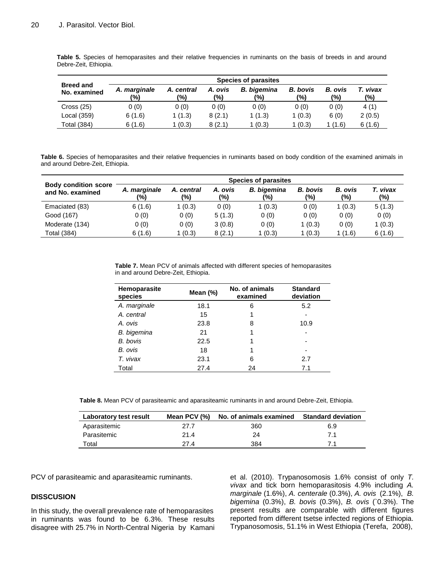|                                  |                     |                   |                | <b>Species of parasites</b> |                        |                       |                 |
|----------------------------------|---------------------|-------------------|----------------|-----------------------------|------------------------|-----------------------|-----------------|
| <b>Breed and</b><br>No. examined | A. marginale<br>(%) | A. central<br>(%) | A. ovis<br>(%) | <b>B.</b> bigemina<br>(%)   | <b>B.</b> bovis<br>(%) | <b>B.</b> ovis<br>(%) | T. vivax<br>(%) |
| Cross(25)                        | 0(0)                | 0(0)              | 0(0)           | 0(0)                        | 0(0)                   | 0(0)                  | 4(1)            |
| Local (359)                      | 6(1.6)              | 1(1.3)            | 8(2.1)         | 1(1.3)                      | 1(0.3)                 | 6(0)                  | 2(0.5)          |
| <b>Total (384)</b>               | 6(1.6)              | 1(0.3)            | 8(2.1)         | 1(0.3)                      | 1(0.3)                 | 1(1.6)                | 6(1.6)          |

**Table 5.** Species of hemoparasites and their relative frequencies in ruminants on the basis of breeds in and around Debre-Zeit, Ethiopia.

**Table 6.** Species of hemoparasites and their relative frequencies in ruminants based on body condition of the examined animals in and around Debre-Zeit, Ethiopia.

|                                                 |                     |                   |                | <b>Species of parasites</b> |                        |                |                 |
|-------------------------------------------------|---------------------|-------------------|----------------|-----------------------------|------------------------|----------------|-----------------|
| <b>Body condition score</b><br>and No. examined | A. marginale<br>(%) | A. central<br>(%) | A. ovis<br>(%) | <b>B.</b> bigemina<br>(%)   | <b>B.</b> bovis<br>(%) | B. ovis<br>(%) | T. vivax<br>(%) |
| Emaciated (83)                                  | 6(1.6)              | 1(0.3)            | 0(0)           | 1(0.3)                      | 0(0)                   | 1(0.3)         | 5(1.3)          |
| Good (167)                                      | 0(0)                | 0(0)              | 5(1.3)         | 0(0)                        | 0(0)                   | 0(0)           | 0(0)            |
| Moderate (134)                                  | 0(0)                | 0(0)              | 3(0.8)         | 0(0)                        | 1(0.3)                 | 0(0)           | 1(0.3)          |
| Total (384)                                     | 6(1.6)              | 1(0.3)            | 8(2.1)         | 1(0.3)                      | 1(0.3)                 | (1.6)          | 6(1.6)          |

|                                     |  |  |  | <b>Table 7.</b> Mean PCV of animals affected with different species of hemoparasites |  |  |
|-------------------------------------|--|--|--|--------------------------------------------------------------------------------------|--|--|
| in and around Debre-Zeit, Ethiopia. |  |  |  |                                                                                      |  |  |

| <b>Hemoparasite</b><br>species | Mean $(\%)$ | No. of animals<br>examined | <b>Standard</b><br>deviation |
|--------------------------------|-------------|----------------------------|------------------------------|
| A. marginale                   | 18.1        | 6                          | 5.2                          |
| A. central                     | 15          |                            |                              |
| A. ovis                        | 23.8        | 8                          | 10.9                         |
| B. bigemina                    | 21          |                            |                              |
| B. bovis                       | 22.5        |                            | -                            |
| B. ovis                        | 18          |                            |                              |
| T. vivax                       | 23.1        | 6                          | 2.7                          |
| Total                          | 27.4        | 24                         | 7.1                          |

**Table 8.** Mean PCV of parasiteamic and aparasiteamic ruminants in and around Debre-Zeit, Ethiopia.

| Laboratory test result | Mean PCV (%) | No. of animals examined Standard deviation |     |
|------------------------|--------------|--------------------------------------------|-----|
| Aparasitemic           | 27.7         | 360                                        | 6.9 |
| Parasitemic            | 21.4         | 24                                         | 71  |
| Total                  | 27.4         | 384                                        |     |

PCV of parasiteamic and aparasiteamic ruminants.

# **DISSCUSION**

In this study, the overall prevalence rate of hemoparasites in ruminants was found to be 6.3%. These results disagree with 25.7% in North-Central Nigeria by Kamani et al. (2010). Trypanosomosis 1.6% consist of only *T. vivax* and tick born hemoparasitosis 4.9% including *A. marginale* (1.6%), *A. centerale* (0.3%), *A. ovis* (2.1%), *B. bigemina* (0.3%), *B. bovis* (0.3%), *B. ovis* (`0.3%). The present results are comparable with different figures reported from different tsetse infected regions of Ethiopia. Trypanosomosis, 51.1% in West Ethiopia (Terefa, 2008),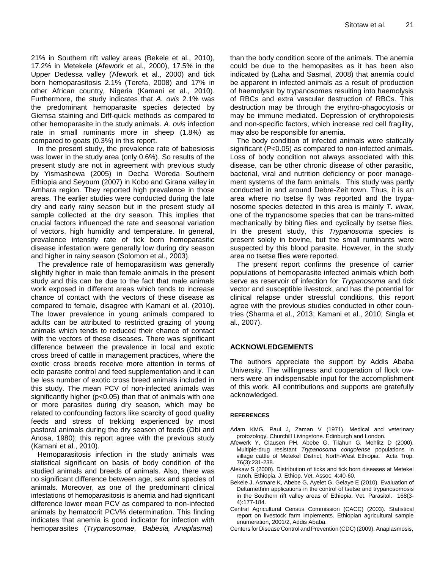21% in Southern rift valley areas (Bekele et al., 2010), 17.2% in Metekele (Afework et al., 2000), 17.5% in the Upper Dedessa valley (Afework et al., 2000) and tick born hemoparasitosis 2.1% (Terefa, 2008) and 17% in other African country, Nigeria (Kamani et al., 2010). Furthermore, the study indicates that *A. ovis* 2.1% was the predominant hemoparasite species detected by Giemsa staining and Diff-quick methods as compared to other hemoparasite in the study animals. *A. ovis* infection rate in small ruminants more in sheep (1.8%) as compared to goats (0.3%) in this report.

In the present study, the prevalence rate of babesiosis was lower in the study area (only 0.6%). So results of the present study are not in agreement with previous study by Yismashewa (2005) in Decha Woreda Southern Ethiopia and Seyoum (2007) in Kobo and Girana valley in Amhara region. They reported high prevalence in those areas. The earlier studies were conducted during the late dry and early rainy season but in the present study all sample collected at the dry season. This implies that crucial factors influenced the rate and seasonal variation of vectors, high humidity and temperature. In general, prevalence intensity rate of tick born hemoparasitic disease infestation were generally low during dry season and higher in rainy season (Solomon et al., 2003).

The prevalence rate of hemoparasitism was generally slightly higher in male than female animals in the present study and this can be due to the fact that male animals work exposed in different areas which tends to increase chance of contact with the vectors of these disease as compared to female, disagree with Kamani et al. (2010). The lower prevalence in young animals compared to adults can be attributed to restricted grazing of young animals which tends to reduced their chance of contact with the vectors of these diseases. There was significant difference between the prevalence in local and exotic cross breed of cattle in management practices, where the exotic cross breeds receive more attention in terms of ecto parasite control and feed supplementation and it can be less number of exotic cross breed animals included in this study. The mean PCV of non-infected animals was significantly higher (p<0.05) than that of animals with one or more parasites during dry season, which may be related to confounding factors like scarcity of good quality feeds and stress of trekking experienced by most pastoral animals during the dry season of feeds (Obi and Anosa, 1980); this report agree with the previous study (Kamani et al., 2010).

Hemoparasitosis infection in the study animals was statistical significant on basis of body condition of the studied animals and breeds of animals. Also, there was no significant difference between age, sex and species of animals. Moreover, as one of the predominant clinical infestations of hemoparasitosis is anemia and had significant difference lower mean PCV as compared to non-infected animals by hematocrit PCV% determination. This finding indicates that anemia is good indicator for infection with hemoparasites (*Trypanosomae, Babesia, Anaplasma*)

than the body condition score of the animals. The anemia could be due to the hemopasites as it has been also indicated by (Laha and Sasmal, 2008) that anemia could be apparent in infected animals as a result of production of haemolysin by trypanosomes resulting into haemolysis of RBCs and extra vascular destruction of RBCs. This destruction may be through the erythro-phagocytosis or may be immune mediated. Depression of erythropoiesis and non-specific factors, which increase red cell fragility, may also be responsible for anemia.

The body condition of infected animals were statically significant (P<0.05) as compared to non-infected animals. Loss of body condition not always associated with this disease, can be other chronic disease of other parasitic, bacterial, viral and nutrition deficiency or poor management systems of the farm animals. This study was partly conducted in and around Debre-Zeit town. Thus, it is an area where no tsetse fly was reported and the trypanosome species detected in this area is mainly *T. vivax*, one of the trypanosome species that can be trans-mitted mechanically by biting flies and cyclically by tsetse flies. In the present study, this *Trypanosoma* species is present solely in bovine, but the small ruminants were suspected by this blood parasite. However, in the study area no tsetse flies were reported.

The present report confirms the presence of carrier populations of hemoparasite infected animals which both serve as reservoir of infection for *Trypanosoma* and tick vector and susceptible livestock, and has the potential for clinical relapse under stressful conditions, this report agree with the previous studies conducted in other countries (Sharma et al., 2013; Kamani et al., 2010; Singla et al., 2007).

# **ACKNOWLEDGEMENTS**

The authors appreciate the support by Addis Ababa University. The willingness and cooperation of flock owners were an indispensable input for the accomplishment of this work. All contributions and supports are gratefully acknowledged.

# **REFERENCES**

- Adam KMG, Paul J, Zaman V (1971). Medical and veterinary protozology. Churchill Livingstone. Edinburgh and London.
- Afewerk Y, Clausen PH, Abebe G, Tilahun G, Mehlitz D (2000). Multiple-drug resistant *Trypanosoma congolense* populations in village cattle of Metekel District, North-West Ethiopia. Acta Trop. 76(3):231-238.
- Alekaw S (2000). Distribution of ticks and tick born diseases at Metekel ranch, Ethiopia. J. Ethiop. Vet. Assoc. 4:40-60.
- Bekele J, Asmare K, Abebe G, Ayelet G, Gelaye E (2010). Evaluation of Deltamethrin applications in the control of tsetse and trypanosomosis in the Southern rift valley areas of Ethiopia. Vet. Parasitol. 168(3- 4):177-184.
- Central Agricultural Census Commission (CACC) (2003). Statistical report on livestock farm implements. Ethiopian agricultural sample enumeration, 2001/2, Addis Ababa.
- Centers for Disease Control and Prevention (CDC) (2009). Anaplasmosis,